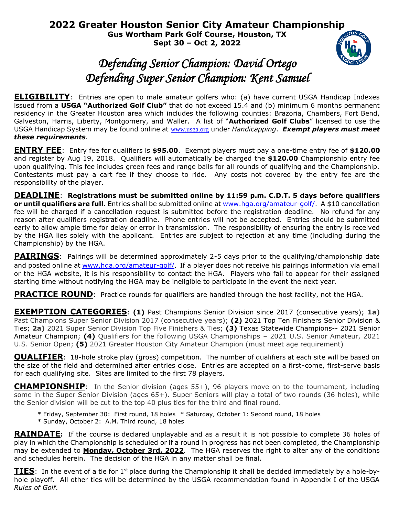**2022 Greater Houston Senior City Amateur Championship Gus Wortham Park Golf Course, Houston, TX Sept 30 – Oct 2, 2022**

## *Defending Senior Champion: David Ortego Defending Super Senior Champion: Kent Samuel*

**ELIGIBILITY**: Entries are open to male amateur golfers who: (a) have current USGA Handicap Indexes issued from a **USGA "Authorized Golf Club"** that do not exceed 15.4 and (b) minimum 6 months permanent residency in the Greater Houston area which includes the following counties: Brazoria, Chambers, Fort Bend, Galveston, Harris, Liberty, Montgomery, and Waller. A list of "**Authorized Golf Clubs**" licensed to use the USGA Handicap System may be found online at [www.usga.org](http://www.usga.org/) under *Handicapping*. *Exempt players must meet these requirements.*

**ENTRY FEE**: Entry fee for qualifiers is **\$95.00**. Exempt players must pay a one-time entry fee of **\$120.00** and register by Aug 19, 2018. Qualifiers will automatically be charged the **\$120.00** Championship entry fee upon qualifying. This fee includes green fees and range balls for all rounds of qualifying and the Championship. Contestants must pay a cart fee if they choose to ride. Any costs not covered by the entry fee are the responsibility of the player.

**DEADLINE**: **Registrations must be submitted online by 11:59 p.m. C.D.T. 5 days before qualifiers or until qualifiers are full.** Entries shall be submitted online at [www.hga.org/amateur-golf/.](http://www.hga.org/amateur-golf/) A \$10 cancellation fee will be charged if a cancellation request is submitted before the registration deadline. No refund for any reason after qualifiers registration deadline. Phone entries will not be accepted. Entries should be submitted early to allow ample time for delay or error in transmission. The responsibility of ensuring the entry is received by the HGA lies solely with the applicant. Entries are subject to rejection at any time (including during the Championship) by the HGA.

**PAIRINGS**: Pairings will be determined approximately 2-5 days prior to the qualifying/championship date and posted online at [www.hga.org/amateur-golf/](http://www.hga.org/amateur-golf/). If a player does not receive his pairings information via email or the HGA website, it is his responsibility to contact the HGA. Players who fail to appear for their assigned starting time without notifying the HGA may be ineligible to participate in the event the next year.

**PRACTICE ROUND:** Practice rounds for qualifiers are handled through the host facility, not the HGA.

**EXEMPTION CATEGORIES**: **(1)** Past Champions Senior Division since 2017 (consecutive years); **1a)** Past Champions Super Senior Division 2017 (consecutive years); **(2)** 2021 Top Ten Finishers Senior Division & Ties; **2a)** 2021 Super Senior Division Top Five Finishers & Ties; **(3)** Texas Statewide Champions-- 2021 Senior Amateur Champion; **(4)** Qualifiers for the following USGA Championships – 2021 U.S. Senior Amateur, 2021 U.S. Senior Open; **(5)** 2021 Greater Houston City Amateur Champion (must meet age requirement)

**QUALIFIER**: 18-hole stroke play (gross) competition. The number of qualifiers at each site will be based on the size of the field and determined after entries close. Entries are accepted on a first-come, first-serve basis for each qualifying site. Sites are limited to the first 78 players.

**CHAMPIONSHIP**: In the Senior division (ages 55+), 96 players move on to the tournament, including some in the Super Senior Division (ages 65+). Super Seniors will play a total of two rounds (36 holes), while the Senior division will be cut to the top 40 plus ties for the third and final round.

- \* Friday, September 30: First round, 18 holes \* Saturday, October 1: Second round, 18 holes
- \* Sunday, October 2: A.M. Third round, 18 holes

**RAINDATE:** If the course is declared unplayable and as a result it is not possible to complete 36 holes of play in which the Championship is scheduled or if a round in progress has not been completed, the Championship may be extended to **Monday, October 3rd, 2022**. The HGA reserves the right to alter any of the conditions and schedules herein. The decision of the HGA in any matter shall be final.

**TIES**: In the event of a tie for 1<sup>st</sup> place during the Championship it shall be decided immediately by a hole-byhole playoff. All other ties will be determined by the USGA recommendation found in Appendix I of the USGA *Rules of Golf*.